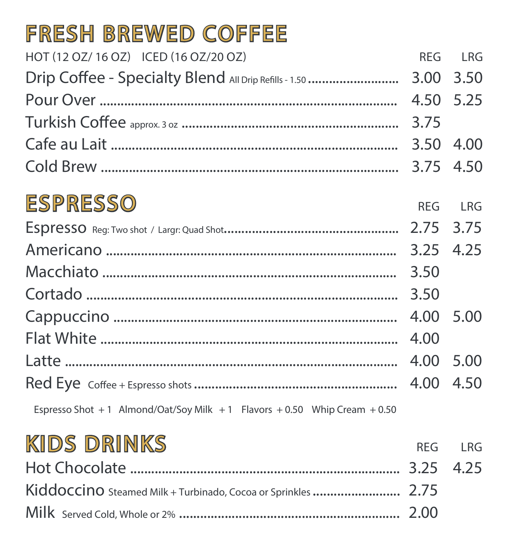# FRESH BREWED COFFEE

| HOT (12 OZ/ 16 OZ) ICED (16 OZ/20 OZ) |           | REG LRG |
|---------------------------------------|-----------|---------|
|                                       |           |         |
|                                       | 4.50 5.25 |         |
|                                       |           |         |
|                                       |           |         |
|                                       |           |         |
| ESPRESSO                              |           | REG LRG |
|                                       |           |         |
|                                       | 3.25 4.25 |         |
|                                       |           |         |
|                                       |           |         |
|                                       |           |         |
|                                       |           |         |
| Latte                                 | 4.00 5.00 |         |
|                                       | 4.00 4.50 |         |

Espresso Shot + 1 Almond/Oat/Soy Milk + 1 Flavors + 0.50 Whip Cream + 0.50

#### KIDS DRINKS **REG LRG** 4.25 Kiddoccino Steamed Milk + Turbinado, Cocoa or Sprinkles ....................... 2.75 2.00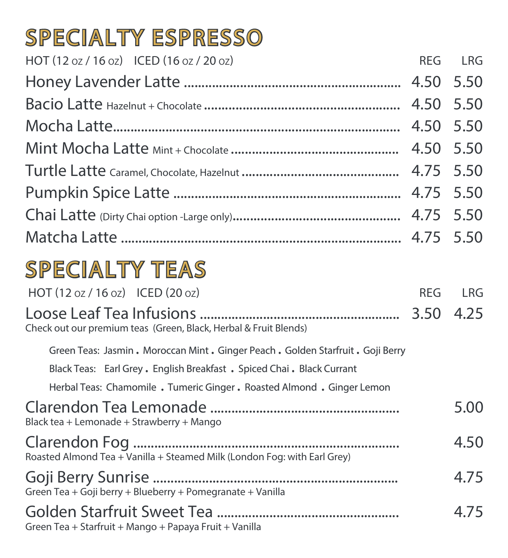Loose Leaf Tea Infusions ......................................................... Check out our premium teas (Green, Black, Herbal & Fruit Blends)

3.50 4.25

Green Teas: Jasmin . Moroccan Mint . Ginger Peach . Golden Starfruit . Goji Berry

Black Teas: Earl Grey . English Breakfast . Spiced Chai . Black Currant

Herbal Teas: Chamomile . Tumeric Ginger . Roasted Almond . Ginger Lemon

Clarendon Tea Lemonade ...................................................... Black tea + Lemonade + Strawberry + Mango

5.00

Clarendon Fog ............................................................................ Roasted Almond Tea + Vanilla + Steamed Milk (London Fog: with Earl Grey)

4.50

Goji Berry Sunrise ...................................................................... Green Tea + Goji berry + Blueberry + Pomegranate + Vanilla

4.75

#### Golden Starfruit Sweet Tea .................................................... Green Tea + Starfruit + Mango + Papaya Fruit + Vanilla

4.75

## SPECIALTY ESPRESSO HOT (12 oz / 16 oz) ICED (16 oz / 20 oz) REG LRG Honey Lavender Latte .............................................................. 4.50 5.50 Bacio Latte Hazelnut + Chocolate ........................................................ 4.50 5.50 Mocha Latte.................................................................................. 4.50 5.50 Mint Mocha Latte Mint + Chocolate ................................................ 4.50 5.50 Turtle Latte Caramel, Chocolate, Hazelnut ............................................. 4.75 5.50 Pumpkin Spice Latte ................................................................. 4.75 5.50 Chai Latte (Dirty Chai option -Large only)................................................ 4.75 5.50 Matcha Latte ................................................................................ 4.75 5.50

# SPECIALTY TEAS  $HOT (12 oz / 16 oz)$  ICED  $(20 oz)$   $REG$  LRG